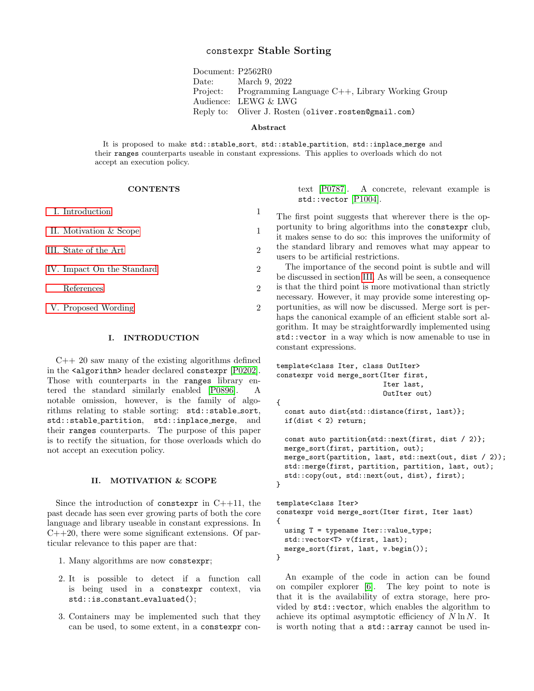# constexpr Stable Sorting

Document: P2562R0 Date: March 9, 2022 Project: Programming Language C++, Library Working Group Audience: LEWG & LWG Reply to: Oliver J. Rosten (oliver.rosten@gmail.com)

### Abstract

It is proposed to make std::stable\_sort, std::stable\_partition, std::inplace\_merge and their ranges counterparts useable in constant expressions. This applies to overloads which do not accept an execution policy.

### **CONTENTS**

| L. Introduction            |                |
|----------------------------|----------------|
| II. Motivation & Scope     | 1              |
| III. State of the Art      | $\mathfrak{D}$ |
| IV. Impact On the Standard | $\mathfrak{D}$ |
| References                 | 2              |
| V. Proposed Wording        | 2              |

### <span id="page-0-0"></span>I. INTRODUCTION

 $C++20$  saw many of the existing algorithms defined in the <algorithm> header declared constexpr [\[P0202\]](#page-1-4). Those with counterparts in the ranges library entered the standard similarly enabled [\[P0896\]](#page-1-5). A notable omission, however, is the family of algorithms relating to stable sorting: std::stable sort, std::stable partition, std::inplace merge, and their ranges counterparts. The purpose of this paper is to rectify the situation, for those overloads which do not accept an execution policy.

### <span id="page-0-1"></span>II. MOTIVATION & SCOPE

Since the introduction of constexpr in  $C++11$ , the past decade has seen ever growing parts of both the core language and library useable in constant expressions. In  $C++20$ , there were some significant extensions. Of particular relevance to this paper are that:

- 1. Many algorithms are now constexpr;
- 2. It is possible to detect if a function call is being used in a constexpr context, via std::is constant evaluated();
- 3. Containers may be implemented such that they can be used, to some extent, in a constexpr con-

text [\[P0787\]](#page-1-6). A concrete, relevant example is std::vector [\[P1004\]](#page-1-7).

The first point suggests that wherever there is the opportunity to bring algorithms into the constexpr club, it makes sense to do so: this improves the uniformity of the standard library and removes what may appear to users to be artificial restrictions.

The importance of the second point is subtle and will be discussed in section [III.](#page-1-0) As will be seen, a consequence is that the third point is more motivational than strictly necessary. However, it may provide some interesting opportunities, as will now be discussed. Merge sort is perhaps the canonical example of an efficient stable sort algorithm. It may be straightforwardly implemented using std::vector in a way which is now amenable to use in constant expressions.

```
template<class Iter, class OutIter>
constexpr void merge_sort(Iter first,
                          Iter last,
                          OutIter out)
{
  const auto dist{std::distance(first, last)};
  if(dist < 2) return;
  const auto partition{std::next(first, dist / 2)};
  merge_sort(first, partition, out);
  merge_sort(partition, last, std::next(out, dist / 2));
  std::merge(first, partition, partition, last, out);
  std::copy(out, std::next(out, dist), first);
}
template<class Iter>
constexpr void merge_sort(Iter first, Iter last)
{
  using T = typename Iter::value_type;
```

```
std::vector<T> v(first, last);
 merge_sort(first, last, v.begin());
}
```
An example of the code in action can be found on compiler explorer [\[6\]](#page-1-8). The key point to note is that it is the availability of extra storage, here provided by std::vector, which enables the algorithm to achieve its optimal asymptotic efficiency of  $N \ln N$ . It is worth noting that a std::array cannot be used in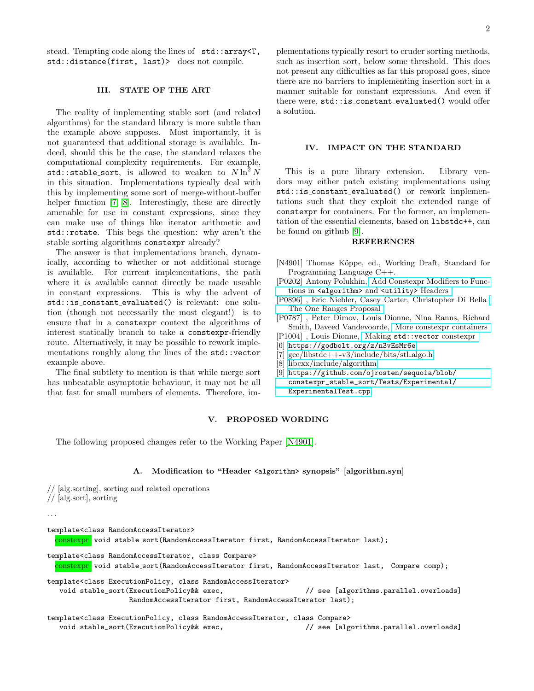stead. Tempting code along the lines of std::array<T, std::distance(first, last)> does not compile.

## <span id="page-1-0"></span>III. STATE OF THE ART

The reality of implementing stable sort (and related algorithms) for the standard library is more subtle than the example above supposes. Most importantly, it is not guaranteed that additional storage is available. Indeed, should this be the case, the standard relaxes the computational complexity requirements. For example, std::stable\_sort, is allowed to weaken to  $N \ln^2 N$ in this situation. Implementations typically deal with this by implementing some sort of merge-without-buffer helper function [\[7,](#page-1-9) [8\]](#page-1-10). Interestingly, these are directly amenable for use in constant expressions, since they can make use of things like iterator arithmetic and std::rotate. This begs the question: why aren't the stable sorting algorithms constexpr already?

The answer is that implementations branch, dynamically, according to whether or not additional storage is available. For current implementations, the path where it is available cannot directly be made useable in constant expressions. This is why the advent of std::is constant evaluated() is relevant: one solution (though not necessarily the most elegant!) is to ensure that in a constexpr context the algorithms of interest statically branch to take a constexpr-friendly route. Alternatively, it may be possible to rework implementations roughly along the lines of the std::vector example above.

The final subtlety to mention is that while merge sort has unbeatable asymptotic behaviour, it may not be all that fast for small numbers of elements. Therefore, im-

plementations typically resort to cruder sorting methods, such as insertion sort, below some threshold. This does not present any difficulties as far this proposal goes, since there are no barriers to implementing insertion sort in a manner suitable for constant expressions. And even if there were, std::is\_constant\_evaluated() would offer a solution.

## <span id="page-1-1"></span>IV. IMPACT ON THE STANDARD

This is a pure library extension. Library vendors may either patch existing implementations using std::is constant evaluated() or rework implementations such that they exploit the extended range of constexpr for containers. For the former, an implementation of the essential elements, based on libstdc++, can be found on github [\[9\]](#page-1-11).

### <span id="page-1-2"></span>REFERENCES

- <span id="page-1-12"></span>[N4901] Thomas Köppe, ed., Working Draft, Standard for Programming Language C++.
- <span id="page-1-4"></span>[P0202] Antony Polukhin, [Add Constexpr Modifiers to Func](http://www.open-std.org/jtc1/sc22/wg21/docs/papers/2017/p0202r3.html)tions in [<algorithm>](http://www.open-std.org/jtc1/sc22/wg21/docs/papers/2017/p0202r3.html) and <utility> Headers
- <span id="page-1-5"></span>[P0896] , Eric Niebler, Casey Carter, Christopher Di Bella [The One Ranges Proposal](http://www.open-std.org/jtc1/sc22/wg21/docs/papers/2018/p0896r4.pdf)
- <span id="page-1-6"></span>[P0787] , Peter Dimov, Louis Dionne, Nina Ranns, Richard Smith, Daveed Vandevoorde, [More constexpr containers](http://www.open-std.org/jtc1/sc22/wg21/docs/papers/2019/p0784r7.html)
- <span id="page-1-7"></span>[P1004] , Louis Dionne, Making [std::vector](http://www.open-std.org/jtc1/sc22/wg21/docs/papers/2019/p1004r2.pdf) constexpr
- <span id="page-1-8"></span>[6] <https://godbolt.org/z/n3vEsMr6e>
- <span id="page-1-9"></span>[7] [gcc/libstdc++-v3/include/bits/stl](https://github.com/gcc-mirror/gcc/blob/d9375e490072d1aae73a93949aa158fcd2a27018/libstdc%2B%2B-v3/include/bits/stl_algo.h) algo.h
- <span id="page-1-10"></span>[8] [libcxx/include/algorithm](https://github.com/llvm-mirror/libcxx/blob/a12cb9d211019d99b5875b6d8034617cbc24c2cc/include/algorithm)
- <span id="page-1-11"></span>[9] [https://github.com/ojrosten/sequoia/blob/](https://github.com/ojrosten/sequoia/blob/constexpr_stable_sort/Tests/Experimental/ExperimentalTest.cpp) [constexpr\\_stable\\_sort/Tests/Experimental/](https://github.com/ojrosten/sequoia/blob/constexpr_stable_sort/Tests/Experimental/ExperimentalTest.cpp) [ExperimentalTest.cpp](https://github.com/ojrosten/sequoia/blob/constexpr_stable_sort/Tests/Experimental/ExperimentalTest.cpp)

## <span id="page-1-3"></span>V. PROPOSED WORDING

The following proposed changes refer to the Working Paper [\[N4901\]](#page-1-12).

### A. Modification to "Header <algorithm> synopsis" [algorithm.syn]

// [alg.sorting], sorting and related operations // [alg.sort], sorting

. . .

template<class RandomAccessIterator>

constexpr void stable\_sort(RandomAccessIterator first, RandomAccessIterator last);

```
template<class RandomAccessIterator, class Compare>
```
constexpr void stable sort(RandomAccessIterator first, RandomAccessIterator last, Compare comp);

template<class ExecutionPolicy, class RandomAccessIterator>

void stable\_sort(ExecutionPolicy&& exec,  $\frac{1}{2}$  see [algorithms.parallel.overloads] RandomAccessIterator first, RandomAccessIterator last);

template<class ExecutionPolicy, class RandomAccessIterator, class Compare> void stable\_sort(ExecutionPolicy&& exec,  $\frac{1}{2}$  see [algorithms.parallel.overloads]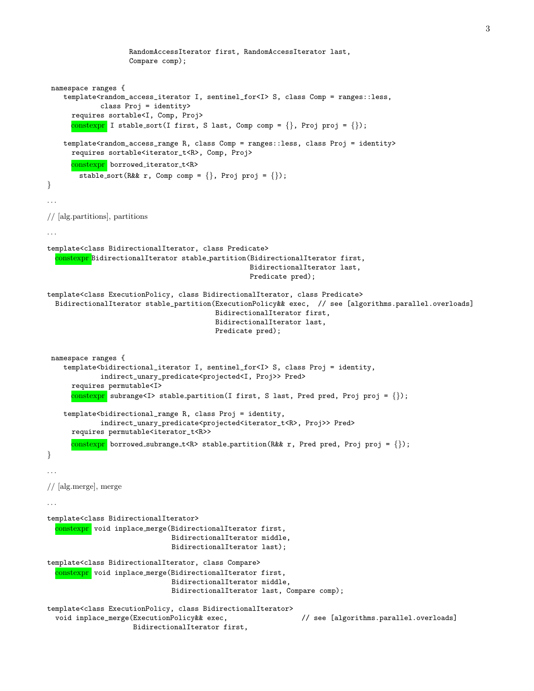```
RandomAccessIterator first, RandomAccessIterator last,
                    Compare comp);
namespace ranges {
    template<random_access_iterator I, sentinel_for<I> S, class Comp = ranges::less,
             class Proj = identity>
      requires sortable<I, Comp, Proj>
      constexpr I stable_sort(I first, S last, Comp comp = \{\}, Proj proj = \{\});
    template<random_access_range R, class Comp = ranges::less, class Proj = identity>
      requires sortable<iterator_t<R>, Comp, Proj>
      constexpr borrowed_iterator_t<R>
        stable_sort(R&& r, Comp comp = \{\}, Proj proj = \{\});
}
// [alg.partitions], partitions
. . .
template<class BidirectionalIterator, class Predicate>
  constexpr BidirectionalIterator stable partition(BidirectionalIterator first,
                                                  BidirectionalIterator last,
                                                  Predicate pred);
template<class ExecutionPolicy, class BidirectionalIterator, class Predicate>
 BidirectionalIterator stable_partition(ExecutionPolicy&& exec, // see [algorithms.parallel.overloads]
                                          BidirectionalIterator first,
                                          BidirectionalIterator last,
                                         Predicate pred);
namespace ranges {
    template<bidirectional_iterator I, sentinel_for<I> S, class Proj = identity,
             indirect_unary_predicate<projected<I, Proj>> Pred>
      requires permutable<I>
      constexpr subrange<I> stable_partition(I first, S last, Pred pred, Proj proj = {});
    template<bidirectional_range R, class Proj = identity,
             indirect_unary_predicate<projected<iterator_t<R>, Proj>> Pred>
      requires permutable<iterator_t<R>>
      constexpr borrowed subrange t < R stable partition (R&& r, Pred pred, Proj proj = {});
}
. . .
// [alg.merge], merge
. . .
template<class BidirectionalIterator>
  constexpr void inplace_merge(BidirectionalIterator first,
                               BidirectionalIterator middle,
                               BidirectionalIterator last);
template<class BidirectionalIterator, class Compare>
  constexpr void inplace_merge(BidirectionalIterator first,
                              BidirectionalIterator middle,
                               BidirectionalIterator last, Compare comp);
template<class ExecutionPolicy, class BidirectionalIterator>
  void inplace_merge(ExecutionPolicy&& exec, \frac{1}{2} see [algorithms.parallel.overloads]
                     BidirectionalIterator first,
```